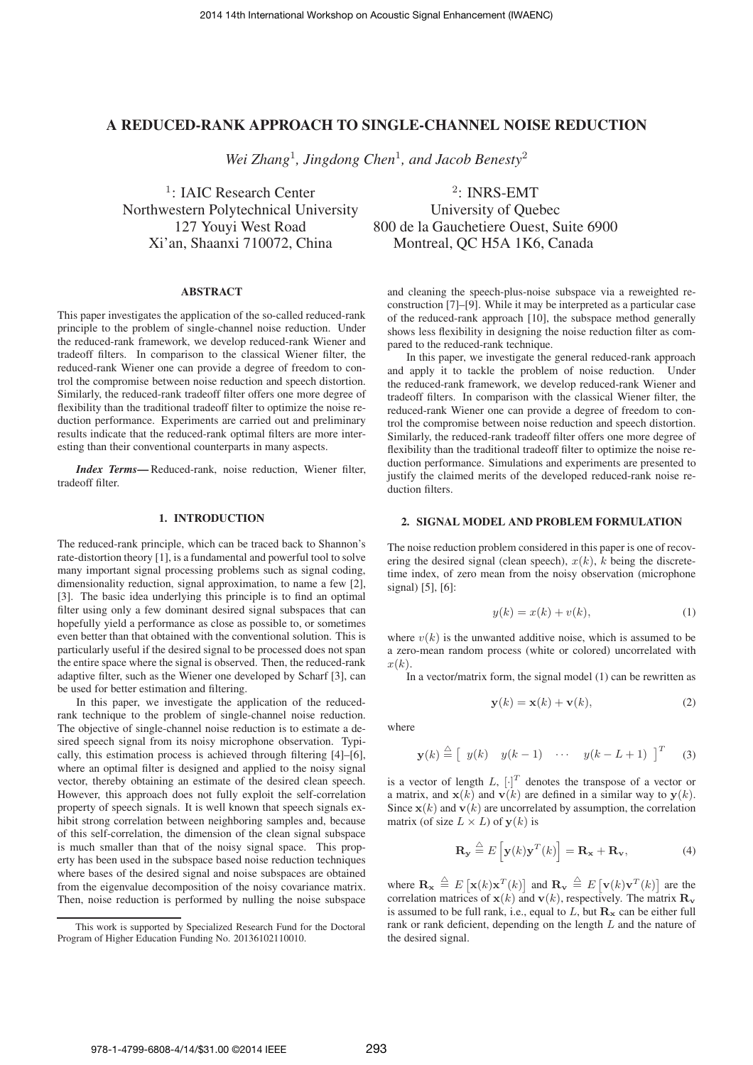# **A REDUCED-RANK APPROACH TO SINGLE-CHANNEL NOISE REDUCTION**

*Wei Zhang*<sup>1</sup>*, Jingdong Chen*<sup>1</sup>*, and Jacob Benesty*<sup>2</sup>

<sup>1</sup>: IAIC Research Center  $2: INRS-EMT$ Northwestern Polytechnical University University of Quebec

### **ABSTRACT**

This paper investigates the application of the so-called reduced-rank principle to the problem of single-channel noise reduction. Under the reduced-rank framework, we develop reduced-rank Wiener and tradeoff filters. In comparison to the classical Wiener filter, the reduced-rank Wiener one can provide a degree of freedom to control the compromise between noise reduction and speech distortion. Similarly, the reduced-rank tradeoff filter offers one more degree of flexibility than the traditional tradeoff filter to optimize the noise reduction performance. Experiments are carried out and preliminary results indicate that the reduced-rank optimal filters are more interesting than their conventional counterparts in many aspects.

*Index Terms***—** Reduced-rank, noise reduction, Wiener filter, tradeoff filter.

## **1. INTRODUCTION**

The reduced-rank principle, which can be traced back to Shannon's rate-distortion theory [1], is a fundamental and powerful tool to solve many important signal processing problems such as signal coding, dimensionality reduction, signal approximation, to name a few [2], [3]. The basic idea underlying this principle is to find an optimal filter using only a few dominant desired signal subspaces that can hopefully yield a performance as close as possible to, or sometimes even better than that obtained with the conventional solution. This is particularly useful if the desired signal to be processed does not span the entire space where the signal is observed. Then, the reduced-rank adaptive filter, such as the Wiener one developed by Scharf [3], can be used for better estimation and filtering.

In this paper, we investigate the application of the reducedrank technique to the problem of single-channel noise reduction. The objective of single-channel noise reduction is to estimate a desired speech signal from its noisy microphone observation. Typically, this estimation process is achieved through filtering [4]–[6], where an optimal filter is designed and applied to the noisy signal vector, thereby obtaining an estimate of the desired clean speech. However, this approach does not fully exploit the self-correlation property of speech signals. It is well known that speech signals exhibit strong correlation between neighboring samples and, because of this self-correlation, the dimension of the clean signal subspace is much smaller than that of the noisy signal space. This property has been used in the subspace based noise reduction techniques where bases of the desired signal and noise subspaces are obtained from the eigenvalue decomposition of the noisy covariance matrix. Then, noise reduction is performed by nulling the noise subspace

127 Youyi West Road 800 de la Gauchetiere Ouest, Suite 6900 Xi'an, Shaanxi 710072, China Montreal, QC H5A 1K6, Canada

> and cleaning the speech-plus-noise subspace via a reweighted reconstruction [7]–[9]. While it may be interpreted as a particular case of the reduced-rank approach [10], the subspace method generally shows less flexibility in designing the noise reduction filter as compared to the reduced-rank technique.

> In this paper, we investigate the general reduced-rank approach and apply it to tackle the problem of noise reduction. Under the reduced-rank framework, we develop reduced-rank Wiener and tradeoff filters. In comparison with the classical Wiener filter, the reduced-rank Wiener one can provide a degree of freedom to control the compromise between noise reduction and speech distortion. Similarly, the reduced-rank tradeoff filter offers one more degree of flexibility than the traditional tradeoff filter to optimize the noise reduction performance. Simulations and experiments are presented to justify the claimed merits of the developed reduced-rank noise reduction filters.

#### **2. SIGNAL MODEL AND PROBLEM FORMULATION**

The noise reduction problem considered in this paper is one of recovering the desired signal (clean speech),  $x(k)$ , k being the discretetime index, of zero mean from the noisy observation (microphone signal) [5], [6]:

$$
y(k) = x(k) + v(k),\tag{1}
$$

where  $v(k)$  is the unwanted additive noise, which is assumed to be a zero-mean random process (white or colored) uncorrelated with  $x(k)$ .

In a vector/matrix form, the signal model (1) can be rewritten as

$$
\mathbf{y}(k) = \mathbf{x}(k) + \mathbf{v}(k),\tag{2}
$$

where

$$
\mathbf{y}(k) \stackrel{\triangle}{=} \left[ y(k) \quad y(k-1) \quad \cdots \quad y(k-L+1) \right]^T \quad (3)
$$

is a vector of length L,  $[\cdot]^T$  denotes the transpose of a vector or a matrix, and  $\mathbf{x}(k)$  and  $\mathbf{v}(k)$  are defined in a similar way to  $\mathbf{y}(k)$ . Since  $\mathbf{x}(k)$  and  $\mathbf{v}(k)$  are uncorrelated by assumption, the correlation matrix (of size  $L \times L$ ) of  $y(k)$  is

$$
\mathbf{R}_{\mathbf{y}} \stackrel{\triangle}{=} E\left[\mathbf{y}(k)\mathbf{y}^T(k)\right] = \mathbf{R}_{\mathbf{x}} + \mathbf{R}_{\mathbf{v}},\tag{4}
$$

where  $\mathbf{R}_{\mathbf{x}} \triangleq E\left[\mathbf{x}(k)\mathbf{x}^T(k)\right]$  and  $\mathbf{R}_{\mathbf{v}} \triangleq E\left[\mathbf{v}(k)\mathbf{v}^T(k)\right]$  are the correlation matrices of  $\mathbf{x}(k)$  and  $\mathbf{v}(k)$ , respectively. The matrix  $\mathbf{R}_{\mathbf{v}}$ is assumed to be full rank, i.e., equal to  $L$ , but  $\mathbf{R}_{\mathbf{x}}$  can be either full rank or rank deficient, depending on the length L and the nature of the desired signal.

This work is supported by Specialized Research Fund for the Doctoral Program of Higher Education Funding No. 20136102110010.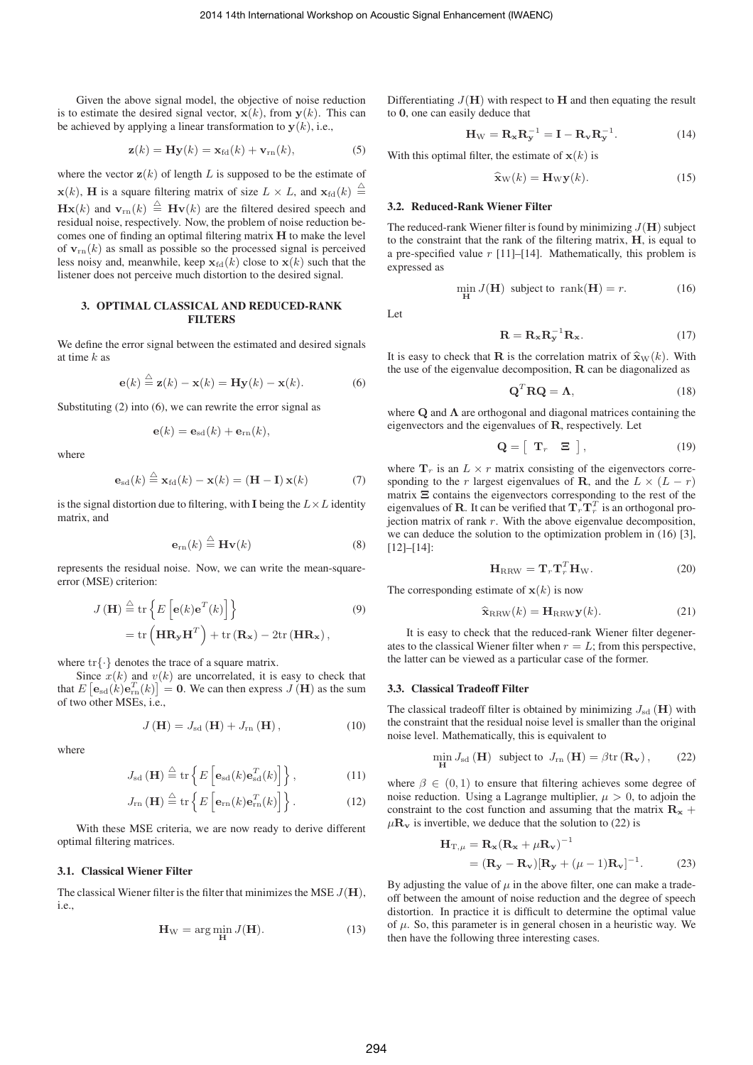Given the above signal model, the objective of noise reduction is to estimate the desired signal vector,  $\mathbf{x}(k)$ , from  $\mathbf{y}(k)$ . This can be achieved by applying a linear transformation to  $y(k)$ , i.e.,

$$
\mathbf{z}(k) = \mathbf{H}\mathbf{y}(k) = \mathbf{x}_{\text{fd}}(k) + \mathbf{v}_{\text{rn}}(k),
$$
 (5)

where the vector  $z(k)$  of length L is supposed to be the estimate of  $\mathbf{x}(k)$ , **H** is a square filtering matrix of size  $L \times L$ , and  $\mathbf{x}_{\text{fd}}(k) \triangleq$  $\mathbf{Hx}(k)$  and  $\mathbf{v}_{rn}(k) \triangleq \mathbf{Hv}(k)$  are the filtered desired speech and residual noise, respectively. Now, the problem of noise reduction becomes one of finding an optimal filtering matrix **H** to make the level of  $\mathbf{v}_{\text{rn}}(k)$  as small as possible so the processed signal is perceived less noisy and, meanwhile, keep  $\mathbf{x}_{\text{fd}}(k)$  close to  $\mathbf{x}(k)$  such that the listener does not perceive much distortion to the desired signal.

#### **3. OPTIMAL CLASSICAL AND REDUCED-RANK FILTERS**

We define the error signal between the estimated and desired signals at time  $k$  as

$$
\mathbf{e}(k) \stackrel{\triangle}{=} \mathbf{z}(k) - \mathbf{x}(k) = \mathbf{H}\mathbf{y}(k) - \mathbf{x}(k). \tag{6}
$$

Substituting (2) into (6), we can rewrite the error signal as

$$
\mathbf{e}(k) = \mathbf{e}_{\rm sd}(k) + \mathbf{e}_{\rm rn}(k),
$$

where

$$
\mathbf{e}_{sd}(k) \stackrel{\triangle}{=} \mathbf{x}_{fd}(k) - \mathbf{x}(k) = (\mathbf{H} - \mathbf{I}) \mathbf{x}(k)
$$
 (7)

is the signal distortion due to filtering, with **I** being the  $L \times L$  identity matrix, and

$$
\mathbf{e}_{\rm rn}(k) \stackrel{\triangle}{=} \mathbf{Hv}(k) \tag{8}
$$

represents the residual noise. Now, we can write the mean-squareerror (MSE) criterion:

$$
J(\mathbf{H}) \stackrel{\triangle}{=} \text{tr}\left\{ E\left[\mathbf{e}(k)\mathbf{e}^{T}(k)\right] \right\}
$$
\n
$$
= \text{tr}\left(\mathbf{H}\mathbf{R}_{\mathbf{y}}\mathbf{H}^{T}\right) + \text{tr}\left(\mathbf{R}_{\mathbf{x}}\right) - 2\text{tr}\left(\mathbf{H}\mathbf{R}_{\mathbf{x}}\right),
$$
\n(9)

where  $\text{tr}\{\cdot\}$  denotes the trace of a square matrix.

Since  $x(k)$  and  $v(k)$  are uncorrelated, it is easy to check that that  $E\left[\mathbf{e}_{sd}(k)\mathbf{e}_{rn}^T(k)\right] = \mathbf{0}$ . We can then express  $J(\mathbf{H})$  as the sum of two other MSEs, i.e.,

$$
J(\mathbf{H}) = J_{\rm sd}(\mathbf{H}) + J_{\rm rn}(\mathbf{H}), \qquad (10)
$$

where

$$
J_{\rm sd}(\mathbf{H}) \stackrel{\triangle}{=} \text{tr}\left\{ E\left[\mathbf{e}_{\rm sd}(k)\mathbf{e}_{\rm sd}^T(k)\right]\right\},\tag{11}
$$

$$
J_{\rm rn}\left(\mathbf{H}\right) \stackrel{\triangle}{=} \text{tr}\left\{E\left[\mathbf{e}_{\rm rn}(k)\mathbf{e}_{\rm rn}^T(k)\right]\right\}.
$$
 (12)

With these MSE criteria, we are now ready to derive different optimal filtering matrices.

#### **3.1. Classical Wiener Filter**

The classical Wiener filter is the filter that minimizes the MSE  $J(\mathbf{H})$ , i.e.,

$$
\mathbf{H}_{\rm W} = \arg\min_{\mathbf{H}} J(\mathbf{H}).\tag{13}
$$

Differentiating  $J(H)$  with respect to  $H$  and then equating the result to **0**, one can easily deduce that

$$
\mathbf{H}_{\mathrm{W}} = \mathbf{R}_{\mathbf{x}} \mathbf{R}_{\mathbf{y}}^{-1} = \mathbf{I} - \mathbf{R}_{\mathbf{v}} \mathbf{R}_{\mathbf{y}}^{-1}.
$$
 (14)

With this optimal filter, the estimate of  $\mathbf{x}(k)$  is

$$
\widehat{\mathbf{x}}_{\mathrm{W}}(k) = \mathbf{H}_{\mathrm{W}} \mathbf{y}(k). \tag{15}
$$

### **3.2. Reduced-Rank Wiener Filter**

The reduced-rank Wiener filter is found by minimizing  $J(H)$  subject to the constraint that the rank of the filtering matrix, **H**, is equal to a pre-specified value  $r$  [11]–[14]. Mathematically, this problem is expressed as

$$
\min_{\mathbf{H}} J(\mathbf{H}) \text{ subject to } \text{rank}(\mathbf{H}) = r. \tag{16}
$$

Let

$$
\mathbf{R} = \mathbf{R}_{\mathbf{x}} \mathbf{R}_{\mathbf{y}}^{-1} \mathbf{R}_{\mathbf{x}}.
$$
 (17)

It is easy to check that **R** is the correlation matrix of  $\hat{\mathbf{x}}_W(k)$ . With the use of the eigenvalue decomposition, **R** can be diagonalized as

$$
\mathbf{Q}^T \mathbf{R} \mathbf{Q} = \mathbf{\Lambda},\tag{18}
$$

where **Q** and **Λ** are orthogonal and diagonal matrices containing the eigenvectors and the eigenvalues of **R**, respectively. Let

$$
\mathbf{Q} = \left[ \begin{array}{cc} \mathbf{T}_r & \mathbf{\Xi} \end{array} \right],\tag{19}
$$

where  $\mathbf{T}_r$  is an  $L \times r$  matrix consisting of the eigenvectors corresponding to the r largest eigenvalues of **R**, and the  $L \times (L - r)$ matrix **Ξ** contains the eigenvectors corresponding to the rest of the eigenvalues of **R**. It can be verified that  $\mathbf{T}_r \mathbf{T}_r^T$  is an orthogonal projection matrix of rank  $r$ . With the above eigenvalue decomposition, we can deduce the solution to the optimization problem in (16) [3], [12]–[14]:

$$
\mathbf{H}_{\text{RRW}} = \mathbf{T}_r \mathbf{T}_r^T \mathbf{H}_{\text{W}}.
$$
 (20)

The corresponding estimate of  $x(k)$  is now

$$
\widehat{\mathbf{x}}_{\text{RRW}}(k) = \mathbf{H}_{\text{RRW}} \mathbf{y}(k). \tag{21}
$$

It is easy to check that the reduced-rank Wiener filter degenerates to the classical Wiener filter when  $r = L$ ; from this perspective, the latter can be viewed as a particular case of the former.

#### **3.3. Classical Tradeoff Filter**

The classical tradeoff filter is obtained by minimizing  $J_{sd}(\mathbf{H})$  with the constraint that the residual noise level is smaller than the original noise level. Mathematically, this is equivalent to

$$
\min_{\mathbf{H}} J_{\rm sd}(\mathbf{H}) \text{ subject to } J_{\rm rn}(\mathbf{H}) = \beta \text{tr}(\mathbf{R}_{\mathbf{v}}), \qquad (22)
$$

where  $\beta \in (0, 1)$  to ensure that filtering achieves some degree of noise reduction. Using a Lagrange multiplier,  $\mu > 0$ , to adjoin the constraint to the cost function and assuming that the matrix  $\mathbf{R}_{\mathbf{x}}$  +  $\mu$ **Rv** is invertible, we deduce that the solution to (22) is

$$
\mathbf{H}_{\mathrm{T},\mu} = \mathbf{R}_{\mathbf{x}} (\mathbf{R}_{\mathbf{x}} + \mu \mathbf{R}_{\mathbf{v}})^{-1}
$$

$$
= (\mathbf{R}_{\mathbf{y}} - \mathbf{R}_{\mathbf{v}}) [\mathbf{R}_{\mathbf{y}} + (\mu - 1)\mathbf{R}_{\mathbf{v}}]^{-1}.
$$
 (23)

By adjusting the value of  $\mu$  in the above filter, one can make a tradeoff between the amount of noise reduction and the degree of speech distortion. In practice it is difficult to determine the optimal value of  $\mu$ . So, this parameter is in general chosen in a heuristic way. We then have the following three interesting cases.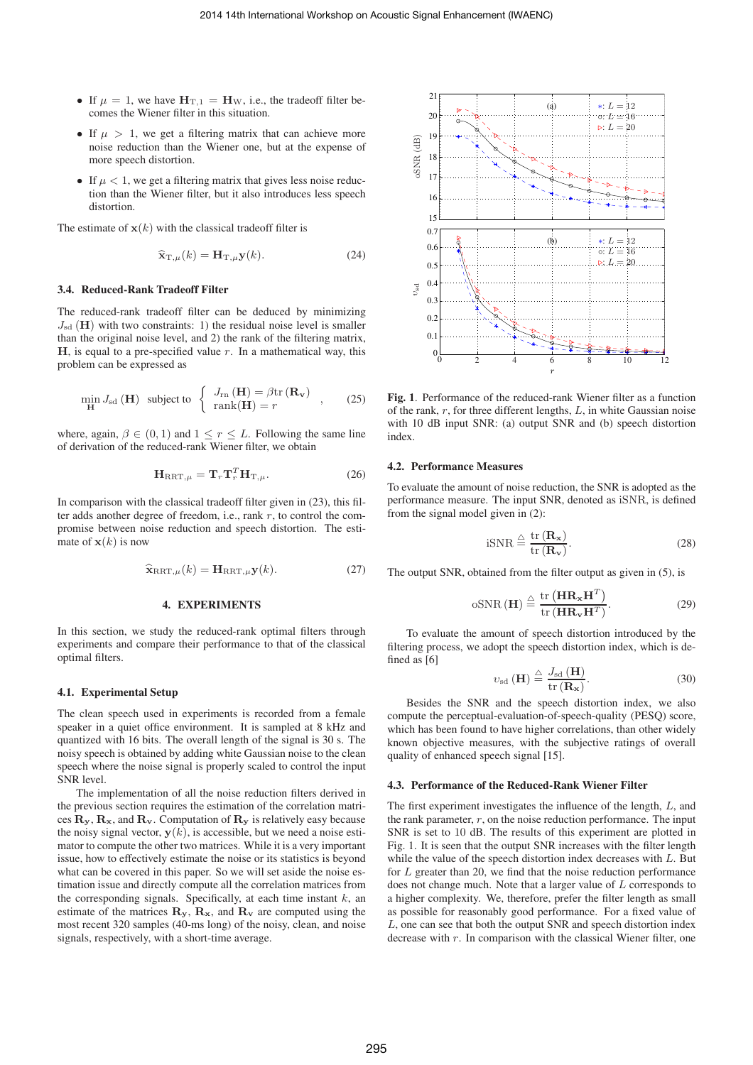- If  $\mu = 1$ , we have  $\mathbf{H}_{T,1} = \mathbf{H}_W$ , i.e., the tradeoff filter becomes the Wiener filter in this situation.
- If  $\mu > 1$ , we get a filtering matrix that can achieve more noise reduction than the Wiener one, but at the expense of more speech distortion.
- If  $\mu$  < 1, we get a filtering matrix that gives less noise reduction than the Wiener filter, but it also introduces less speech distortion.

The estimate of  $\mathbf{x}(k)$  with the classical tradeoff filter is

$$
\widehat{\mathbf{x}}_{\mathrm{T},\mu}(k) = \mathbf{H}_{\mathrm{T},\mu}\mathbf{y}(k). \tag{24}
$$

#### **3.4. Reduced-Rank Tradeoff Filter**

The reduced-rank tradeoff filter can be deduced by minimizing  $J_{sd}$  ( $\bf{H}$ ) with two constraints: 1) the residual noise level is smaller than the original noise level, and 2) the rank of the filtering matrix,  $H$ , is equal to a pre-specified value  $r$ . In a mathematical way, this problem can be expressed as

$$
\min_{\mathbf{H}} J_{\rm sd}(\mathbf{H}) \text{ subject to } \begin{cases} J_{\rm rn}(\mathbf{H}) = \beta \text{tr}(\mathbf{R}_{\mathbf{v}}) \\ \text{rank}(\mathbf{H}) = r \end{cases}, \qquad (25)
$$

where, again,  $\beta \in (0, 1)$  and  $1 \le r \le L$ . Following the same line of derivation of the reduced-rank Wiener filter, we obtain

$$
\mathbf{H}_{\text{RRT},\mu} = \mathbf{T}_r \mathbf{T}_r^T \mathbf{H}_{\text{T},\mu}.
$$
 (26)

In comparison with the classical tradeoff filter given in (23), this filter adds another degree of freedom, i.e., rank  $r$ , to control the compromise between noise reduction and speech distortion. The estimate of  $\mathbf{x}(k)$  is now

$$
\widehat{\mathbf{x}}_{\text{RRT},\mu}(k) = \mathbf{H}_{\text{RRT},\mu}\mathbf{y}(k). \tag{27}
$$

## **4. EXPERIMENTS**

In this section, we study the reduced-rank optimal filters through experiments and compare their performance to that of the classical optimal filters.

#### **4.1. Experimental Setup**

The clean speech used in experiments is recorded from a female speaker in a quiet office environment. It is sampled at 8 kHz and quantized with 16 bits. The overall length of the signal is 30 s. The noisy speech is obtained by adding white Gaussian noise to the clean speech where the noise signal is properly scaled to control the input SNR level.

The implementation of all the noise reduction filters derived in the previous section requires the estimation of the correlation matrices  $\mathbf{R}_\mathbf{y}, \mathbf{R}_\mathbf{x}$ , and  $\mathbf{R}_\mathbf{v}$ . Computation of  $\mathbf{R}_\mathbf{y}$  is relatively easy because the noisy signal vector,  $y(k)$ , is accessible, but we need a noise estimator to compute the other two matrices. While it is a very important issue, how to effectively estimate the noise or its statistics is beyond what can be covered in this paper. So we will set aside the noise estimation issue and directly compute all the correlation matrices from the corresponding signals. Specifically, at each time instant  $k$ , an estimate of the matrices  $\mathbf{R}_v$ ,  $\mathbf{R}_x$ , and  $\mathbf{R}_v$  are computed using the most recent 320 samples (40-ms long) of the noisy, clean, and noise signals, respectively, with a short-time average.



**Fig. 1**. Performance of the reduced-rank Wiener filter as a function of the rank,  $r$ , for three different lengths,  $L$ , in white Gaussian noise with 10 dB input SNR: (a) output SNR and (b) speech distortion index.

## **4.2. Performance Measures**

To evaluate the amount of noise reduction, the SNR is adopted as the performance measure. The input SNR, denoted as iSNR, is defined from the signal model given in (2):

$$
iSNR \stackrel{\triangle}{=} \frac{\text{tr}(\mathbf{R}_{\mathbf{x}})}{\text{tr}(\mathbf{R}_{\mathbf{v}})}.
$$
 (28)

The output SNR, obtained from the filter output as given in (5), is

$$
oSNR(\mathbf{H}) \stackrel{\triangle}{=} \frac{\text{tr}(\mathbf{H}\mathbf{R}_{\mathbf{x}}\mathbf{H}^T)}{\text{tr}(\mathbf{H}\mathbf{R}_{\mathbf{v}}\mathbf{H}^T)}.
$$
 (29)

To evaluate the amount of speech distortion introduced by the filtering process, we adopt the speech distortion index, which is defined as [6]

$$
v_{\rm sd} \left( \mathbf{H} \right) \stackrel{\triangle}{=} \frac{J_{\rm sd} \left( \mathbf{H} \right)}{\text{tr} \left( \mathbf{R}_{\mathbf{x}} \right)}.
$$
 (30)

Besides the SNR and the speech distortion index, we also compute the perceptual-evaluation-of-speech-quality (PESQ) score, which has been found to have higher correlations, than other widely known objective measures, with the subjective ratings of overall quality of enhanced speech signal [15].

### **4.3. Performance of the Reduced-Rank Wiener Filter**

The first experiment investigates the influence of the length, L, and the rank parameter,  $r$ , on the noise reduction performance. The input SNR is set to 10 dB. The results of this experiment are plotted in Fig. 1. It is seen that the output SNR increases with the filter length while the value of the speech distortion index decreases with L. But for  $L$  greater than 20, we find that the noise reduction performance does not change much. Note that a larger value of L corresponds to a higher complexity. We, therefore, prefer the filter length as small as possible for reasonably good performance. For a fixed value of L, one can see that both the output SNR and speech distortion index decrease with  $r$ . In comparison with the classical Wiener filter, one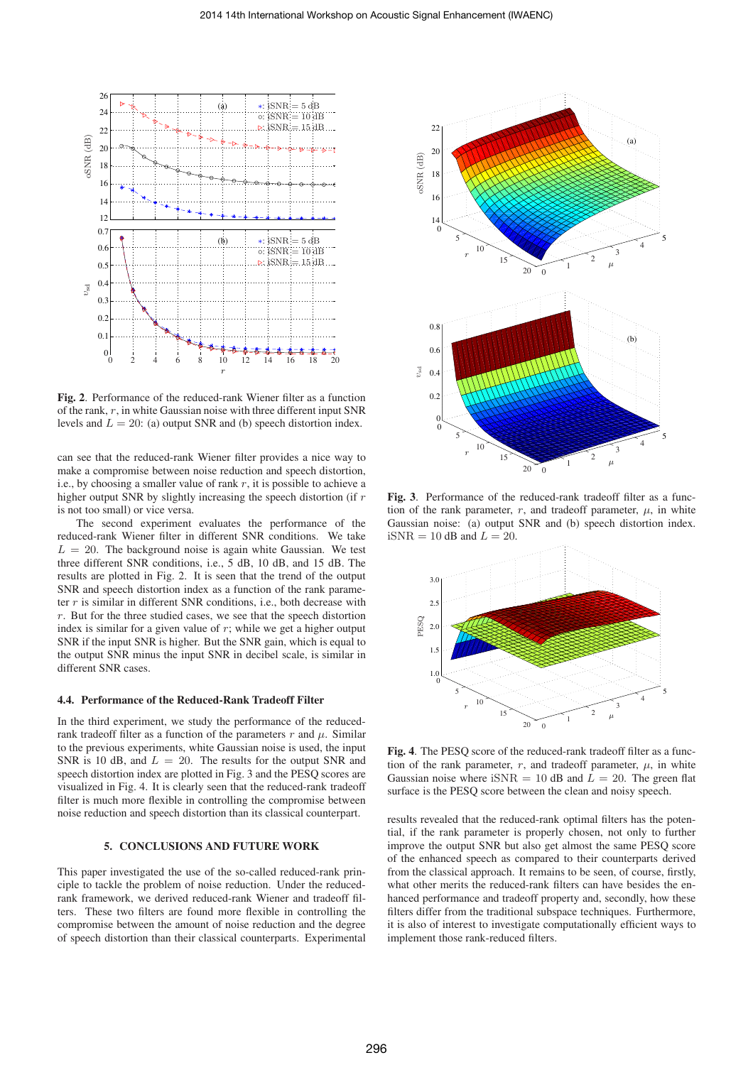

**Fig. 2**. Performance of the reduced-rank Wiener filter as a function of the rank,  $r$ , in white Gaussian noise with three different input SNR levels and  $L = 20$ : (a) output SNR and (b) speech distortion index.

can see that the reduced-rank Wiener filter provides a nice way to make a compromise between noise reduction and speech distortion, i.e., by choosing a smaller value of rank  $r$ , it is possible to achieve a higher output SNR by slightly increasing the speech distortion (if r is not too small) or vice versa.

The second experiment evaluates the performance of the reduced-rank Wiener filter in different SNR conditions. We take  $L = 20$ . The background noise is again white Gaussian. We test three different SNR conditions, i.e., 5 dB, 10 dB, and 15 dB. The results are plotted in Fig. 2. It is seen that the trend of the output SNR and speech distortion index as a function of the rank parameter  $r$  is similar in different SNR conditions, i.e., both decrease with r. But for the three studied cases, we see that the speech distortion index is similar for a given value of  $r$ ; while we get a higher output SNR if the input SNR is higher. But the SNR gain, which is equal to the output SNR minus the input SNR in decibel scale, is similar in different SNR cases.

#### **4.4. Performance of the Reduced-Rank Tradeoff Filter**

In the third experiment, we study the performance of the reducedrank tradeoff filter as a function of the parameters r and  $\mu$ . Similar to the previous experiments, white Gaussian noise is used, the input SNR is 10 dB, and  $L = 20$ . The results for the output SNR and speech distortion index are plotted in Fig. 3 and the PESQ scores are visualized in Fig. 4. It is clearly seen that the reduced-rank tradeoff filter is much more flexible in controlling the compromise between noise reduction and speech distortion than its classical counterpart.

#### **5. CONCLUSIONS AND FUTURE WORK**

This paper investigated the use of the so-called reduced-rank principle to tackle the problem of noise reduction. Under the reducedrank framework, we derived reduced-rank Wiener and tradeoff filters. These two filters are found more flexible in controlling the compromise between the amount of noise reduction and the degree of speech distortion than their classical counterparts. Experimental



**Fig. 3**. Performance of the reduced-rank tradeoff filter as a function of the rank parameter, r, and tradeoff parameter,  $\mu$ , in white Gaussian noise: (a) output SNR and (b) speech distortion index.  $iSNR = 10$  dB and  $L = 20$ .



**Fig. 4**. The PESQ score of the reduced-rank tradeoff filter as a function of the rank parameter,  $r$ , and tradeoff parameter,  $\mu$ , in white Gaussian noise where  $iSNR = 10$  dB and  $L = 20$ . The green flat surface is the PESQ score between the clean and noisy speech.

results revealed that the reduced-rank optimal filters has the potential, if the rank parameter is properly chosen, not only to further improve the output SNR but also get almost the same PESQ score of the enhanced speech as compared to their counterparts derived from the classical approach. It remains to be seen, of course, firstly, what other merits the reduced-rank filters can have besides the enhanced performance and tradeoff property and, secondly, how these filters differ from the traditional subspace techniques. Furthermore, it is also of interest to investigate computationally efficient ways to implement those rank-reduced filters.